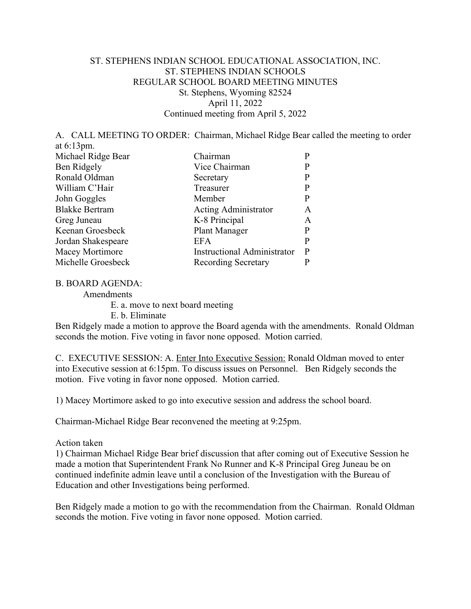# ST. STEPHENS INDIAN SCHOOL EDUCATIONAL ASSOCIATION, INC. ST. STEPHENS INDIAN SCHOOLS REGULAR SCHOOL BOARD MEETING MINUTES St. Stephens, Wyoming 82524 April 11, 2022 Continued meeting from April 5, 2022

A. CALL MEETING TO ORDER: Chairman, Michael Ridge Bear called the meeting to order at 6:13pm.

| Michael Ridge Bear    | Chairman                           | p |
|-----------------------|------------------------------------|---|
| Ben Ridgely           | Vice Chairman                      |   |
| Ronald Oldman         | Secretary                          | P |
| William C'Hair        | Treasurer                          | P |
| John Goggles          | Member                             | P |
| <b>Blakke Bertram</b> | <b>Acting Administrator</b>        | A |
| Greg Juneau           | K-8 Principal                      | A |
| Keenan Groesbeck      | <b>Plant Manager</b>               | P |
| Jordan Shakespeare    | <b>EFA</b>                         | P |
| Macey Mortimore       | <b>Instructional Administrator</b> | р |
| Michelle Groesbeck    | Recording Secretary                |   |

## B. BOARD AGENDA:

Amendments

E. a. move to next board meeting

E. b. Eliminate

Ben Ridgely made a motion to approve the Board agenda with the amendments. Ronald Oldman seconds the motion. Five voting in favor none opposed. Motion carried.

C. EXECUTIVE SESSION: A. Enter Into Executive Session: Ronald Oldman moved to enter into Executive session at 6:15pm. To discuss issues on Personnel. Ben Ridgely seconds the motion. Five voting in favor none opposed. Motion carried.

1) Macey Mortimore asked to go into executive session and address the school board.

Chairman-Michael Ridge Bear reconvened the meeting at 9:25pm.

#### Action taken

1) Chairman Michael Ridge Bear brief discussion that after coming out of Executive Session he made a motion that Superintendent Frank No Runner and K-8 Principal Greg Juneau be on continued indefinite admin leave until a conclusion of the Investigation with the Bureau of Education and other Investigations being performed.

Ben Ridgely made a motion to go with the recommendation from the Chairman. Ronald Oldman seconds the motion. Five voting in favor none opposed. Motion carried.